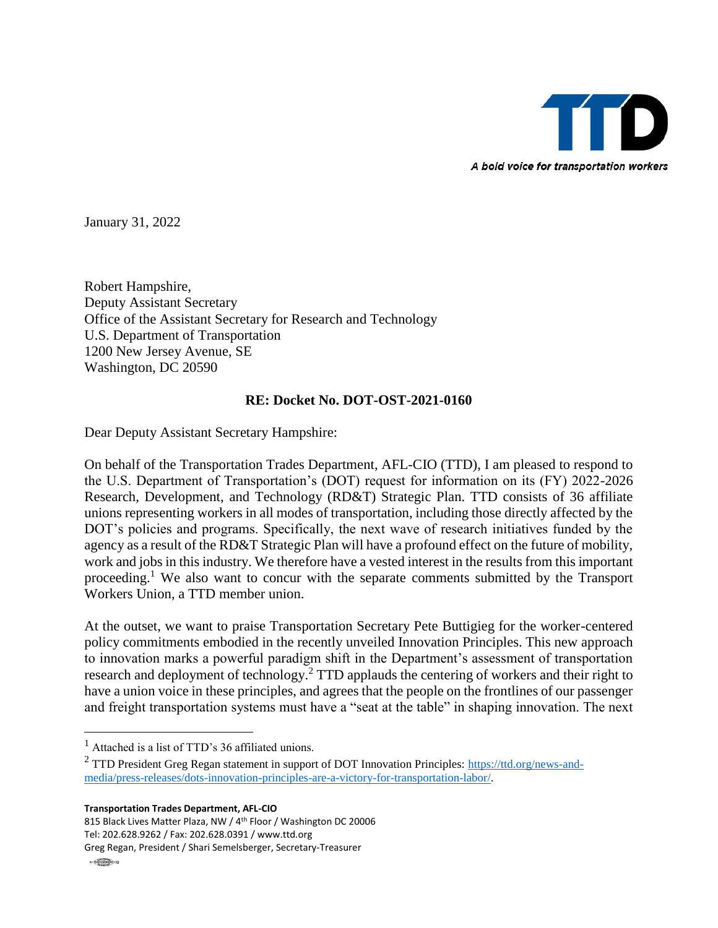

January 31, 2022

Robert Hampshire, Deputy Assistant Secretary Office of the Assistant Secretary for Research and Technology U.S. Department of Transportation 1200 New Jersey Avenue, SE Washington, DC 20590

## **RE: Docket No. DOT-OST-2021-0160**

Dear Deputy Assistant Secretary Hampshire:

On behalf of the Transportation Trades Department, AFL-CIO (TTD), I am pleased to respond to the U.S. Department of Transportation's (DOT) request for information on its (FY) 2022-2026 Research, Development, and Technology (RD&T) Strategic Plan. TTD consists of 36 affiliate unions representing workers in all modes of transportation, including those directly affected by the DOT's policies and programs. Specifically, the next wave of research initiatives funded by the agency as a result of the RD&T Strategic Plan will have a profound effect on the future of mobility, work and jobs in this industry. We therefore have a vested interest in the results from this important proceeding.<sup>1</sup> We also want to concur with the separate comments submitted by the Transport Workers Union, a TTD member union.

At the outset, we want to praise Transportation Secretary Pete Buttigieg for the worker-centered policy commitments embodied in the recently unveiled Innovation Principles. This new approach to innovation marks a powerful paradigm shift in the Department's assessment of transportation research and deployment of technology.<sup>2</sup> TTD applauds the centering of workers and their right to have a union voice in these principles, and agrees that the people on the frontlines of our passenger and freight transportation systems must have a "seat at the table" in shaping innovation. The next

**Transportation Trades Department, AFL-CIO**

815 Black Lives Matter Plaza, NW / 4th Floor / Washington DC 20006 Tel: 202.628.9262 / Fax: 202.628.0391 / www.ttd.org

 $\overline{a}$ 

 $<sup>1</sup>$  Attached is a list of TTD's 36 affiliated unions.</sup>

<sup>&</sup>lt;sup>2</sup> TTD President Greg Regan statement in support of DOT Innovation Principles: [https://ttd.org/news-and](https://ttd.org/news-and-media/press-releases/dots-innovation-principles-are-a-victory-for-transportation-labor/)[media/press-releases/dots-innovation-principles-are-a-victory-for-transportation-labor/.](https://ttd.org/news-and-media/press-releases/dots-innovation-principles-are-a-victory-for-transportation-labor/)

Greg Regan, President / Shari Semelsberger, Secretary-Treasurer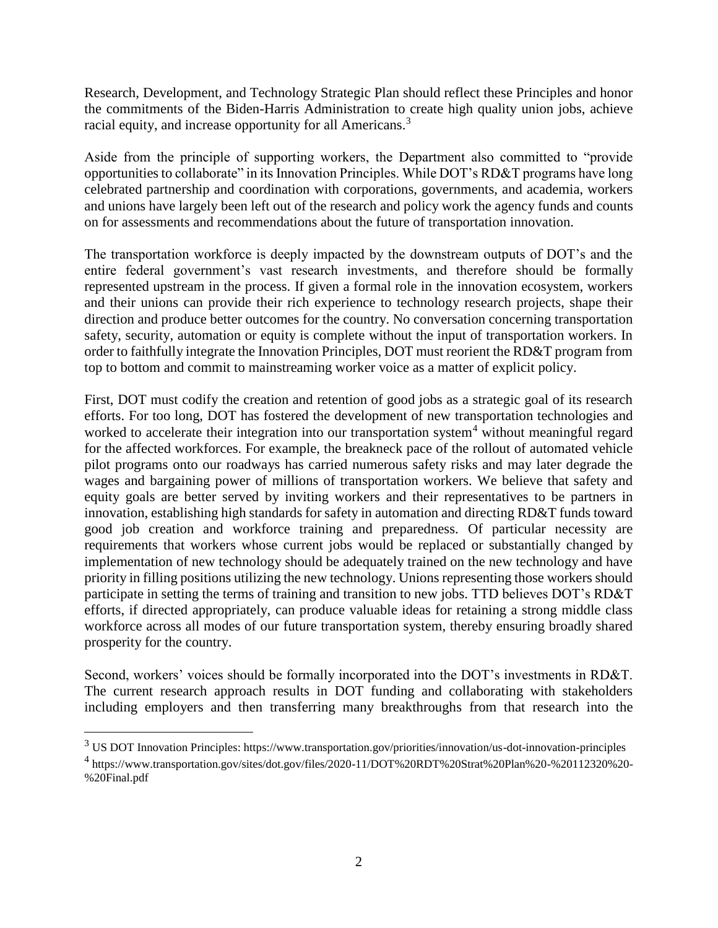Research, Development, and Technology Strategic Plan should reflect these Principles and honor the commitments of the Biden-Harris Administration to create high quality union jobs, achieve racial equity, and increase opportunity for all Americans.<sup>3</sup>

Aside from the principle of supporting workers, the Department also committed to "provide opportunities to collaborate" in its Innovation Principles. While DOT's RD&T programs have long celebrated partnership and coordination with corporations, governments, and academia, workers and unions have largely been left out of the research and policy work the agency funds and counts on for assessments and recommendations about the future of transportation innovation.

The transportation workforce is deeply impacted by the downstream outputs of DOT's and the entire federal government's vast research investments, and therefore should be formally represented upstream in the process. If given a formal role in the innovation ecosystem, workers and their unions can provide their rich experience to technology research projects, shape their direction and produce better outcomes for the country. No conversation concerning transportation safety, security, automation or equity is complete without the input of transportation workers. In order to faithfully integrate the Innovation Principles, DOT must reorient the RD&T program from top to bottom and commit to mainstreaming worker voice as a matter of explicit policy.

First, DOT must codify the creation and retention of good jobs as a strategic goal of its research efforts. For too long, DOT has fostered the development of new transportation technologies and worked to accelerate their integration into our transportation system<sup>4</sup> without meaningful regard for the affected workforces. For example, the breakneck pace of the rollout of automated vehicle pilot programs onto our roadways has carried numerous safety risks and may later degrade the wages and bargaining power of millions of transportation workers. We believe that safety and equity goals are better served by inviting workers and their representatives to be partners in innovation, establishing high standards for safety in automation and directing RD&T funds toward good job creation and workforce training and preparedness. Of particular necessity are requirements that workers whose current jobs would be replaced or substantially changed by implementation of new technology should be adequately trained on the new technology and have priority in filling positions utilizing the new technology. Unions representing those workers should participate in setting the terms of training and transition to new jobs. TTD believes DOT's RD&T efforts, if directed appropriately, can produce valuable ideas for retaining a strong middle class workforce across all modes of our future transportation system, thereby ensuring broadly shared prosperity for the country.

Second, workers' voices should be formally incorporated into the DOT's investments in RD&T. The current research approach results in DOT funding and collaborating with stakeholders including employers and then transferring many breakthroughs from that research into the

 $\overline{a}$ 

 $3 \text{ US DOT}$  Innovation Principles: https://www.transportation.gov/priorities/innovation/us-dot-innovation-principles

<sup>4</sup> https://www.transportation.gov/sites/dot.gov/files/2020-11/DOT%20RDT%20Strat%20Plan%20-%20112320%20- %20Final.pdf